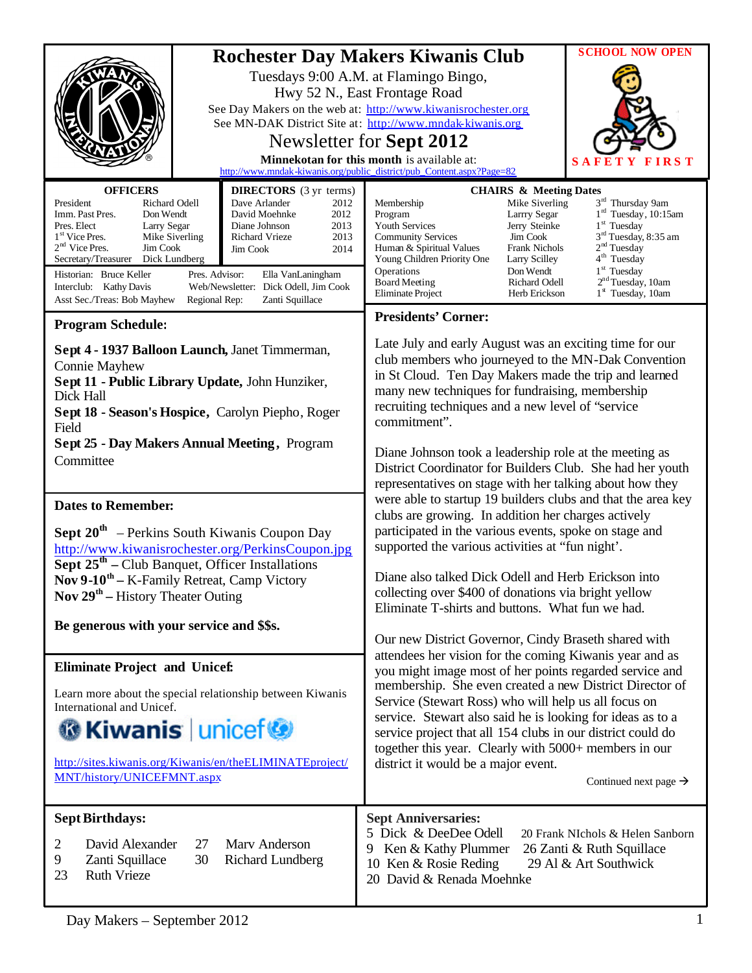|                                                                                                                                                                                                                                                                                                                                                            |                                                                                                                                                                                                                                               | <b>Rochester Day Makers Kiwanis Club</b>                                                                                                                                                                                                                                                                                                                                                                                                                                                                                                                                                | <b>SCHOOL NOW OPEN</b>                                                                                                                                                                                                                                                             |
|------------------------------------------------------------------------------------------------------------------------------------------------------------------------------------------------------------------------------------------------------------------------------------------------------------------------------------------------------------|-----------------------------------------------------------------------------------------------------------------------------------------------------------------------------------------------------------------------------------------------|-----------------------------------------------------------------------------------------------------------------------------------------------------------------------------------------------------------------------------------------------------------------------------------------------------------------------------------------------------------------------------------------------------------------------------------------------------------------------------------------------------------------------------------------------------------------------------------------|------------------------------------------------------------------------------------------------------------------------------------------------------------------------------------------------------------------------------------------------------------------------------------|
|                                                                                                                                                                                                                                                                                                                                                            |                                                                                                                                                                                                                                               | Tuesdays 9:00 A.M. at Flamingo Bingo,<br>Hwy 52 N., East Frontage Road<br>See Day Makers on the web at: http://www.kiwanisrochester.org<br>See MN-DAK District Site at: http://www.mndak-kiwanis.org<br>Newsletter for Sept 2012<br>Minnekotan for this month is available at:<br>http://www.mndak-kiwanis.org/public_district/pub_Content.aspx?Page=82                                                                                                                                                                                                                                 | S 1                                                                                                                                                                                                                                                                                |
| <b>OFFICERS</b><br>Richard Odell<br>President<br>Imm. Past Pres.<br>Don Wendt<br>Pres. Elect<br>Larry Segar<br>1 <sup>st</sup> Vice Pres.<br>Mike Siverling<br>$2nd$ Vice Pres.<br>Jim Cook<br>Secretary/Treasurer<br>Dick Lundberg<br>Historian: Bruce Keller<br>Pres. Advisor:<br>Interclub: Kathy Davis<br>Asst Sec./Treas: Bob Mayhew<br>Regional Rep: | <b>DIRECTORS</b> (3 yr terms)<br>Dave Arlander<br>2012<br>2012<br>David Moehnke<br>Diane Johnson<br>2013<br>Richard Vrieze<br>2013<br>2014<br><b>Jim Cook</b><br>Ella VanLaningham<br>Web/Newsletter: Dick Odell, Jim Cook<br>Zanti Squillace | <b>CHAIRS &amp; Meeting Dates</b><br>Membership<br>Mike Siverling<br>Larrry Segar<br>Program<br>Youth Services<br>Jerry Steinke<br><b>Community Services</b><br>Jim Cook<br><b>Frank Nichols</b><br>Human & Spiritual Values<br>Young Children Priority One<br>Larry Scilley<br>Operations<br>Don Wendt<br><b>Board Meeting</b><br>Richard Odell<br><b>Eliminate Project</b><br>Herb Erickson                                                                                                                                                                                           | 3 <sup>rd</sup> Thursday 9am<br>1 <sup>rd</sup> Tuesday, 10:15am<br>1 <sup>st</sup> Tuesday<br>3 <sup>rd</sup> Tuesday, 8:35 am<br>2 <sup>nd</sup> Tuesday<br>4 <sup>th</sup> Tuesday<br>1 <sup>st</sup> Tuesday<br>2 <sup>nd</sup> Tuesday, 10am<br>1 <sup>st</sup> Tuesday, 10am |
| <b>Program Schedule:</b>                                                                                                                                                                                                                                                                                                                                   |                                                                                                                                                                                                                                               | <b>Presidents' Corner:</b>                                                                                                                                                                                                                                                                                                                                                                                                                                                                                                                                                              |                                                                                                                                                                                                                                                                                    |
| Sept 4 - 1937 Balloon Launch, Janet Timmerman,<br><b>Connie Mayhew</b><br>Sept 11 - Public Library Update, John Hunziker,<br>Dick Hall<br>Sept 18 - Season's Hospice, Carolyn Piepho, Roger<br>Field                                                                                                                                                       |                                                                                                                                                                                                                                               | Late July and early August was an exciting time for our<br>club members who journeyed to the MN-Dak Convention<br>in St Cloud. Ten Day Makers made the trip and learned<br>many new techniques for fundraising, membership<br>recruiting techniques and a new level of "service<br>commitment".                                                                                                                                                                                                                                                                                         |                                                                                                                                                                                                                                                                                    |
| <b>Sept 25 - Day Makers Annual Meeting, Program</b><br>Committee                                                                                                                                                                                                                                                                                           |                                                                                                                                                                                                                                               | Diane Johnson took a leadership role at the meeting as<br>District Coordinator for Builders Club. She had her youth<br>representatives on stage with her talking about how they<br>were able to startup 19 builders clubs and that the area key<br>clubs are growing. In addition her charges actively<br>participated in the various events, spoke on stage and<br>supported the various activities at "fun night".<br>Diane also talked Dick Odell and Herb Erickson into<br>collecting over \$400 of donations via bright yellow<br>Eliminate T-shirts and buttons. What fun we had. |                                                                                                                                                                                                                                                                                    |
| <b>Dates to Remember:</b><br><b>Sept 20<sup>th</sup></b> – Perkins South Kiwanis Coupon Day<br>http://www.kiwanisrochester.org/PerkinsCoupon.jpg<br><b>Sept <math>25th</math></b> – Club Banquet, Officer Installations<br>Nov $9-10^{th}$ – K-Family Retreat, Camp Victory<br>Nov $29th$ – History Theater Outing                                         |                                                                                                                                                                                                                                               |                                                                                                                                                                                                                                                                                                                                                                                                                                                                                                                                                                                         |                                                                                                                                                                                                                                                                                    |
| Be generous with your service and \$\$s.                                                                                                                                                                                                                                                                                                                   |                                                                                                                                                                                                                                               | Our new District Governor, Cindy Braseth shared with<br>attendees her vision for the coming Kiwanis year and as<br>you might image most of her points regarded service and<br>membership. She even created a new District Director of<br>Service (Stewart Ross) who will help us all focus on<br>service. Stewart also said he is looking for ideas as to a<br>service project that all 154 clubs in our district could do<br>together this year. Clearly with 5000+ members in our<br>district it would be a major event.<br>Continued next page $\rightarrow$                         |                                                                                                                                                                                                                                                                                    |
| <b>Eliminate Project and Unicef:</b><br>Learn more about the special relationship between Kiwanis<br>International and Unicef.<br><b>G</b> Kiwanis   unicef<br>http://sites.kiwanis.org/Kiwanis/en/theELIMINATEproject/<br>MNT/history/UNICEFMNT.aspx                                                                                                      |                                                                                                                                                                                                                                               |                                                                                                                                                                                                                                                                                                                                                                                                                                                                                                                                                                                         |                                                                                                                                                                                                                                                                                    |
| <b>Sept Birthdays:</b><br>David Alexander<br>27<br>2<br>30<br>9<br>Zanti Squillace<br>23<br><b>Ruth Vrieze</b>                                                                                                                                                                                                                                             | Mary Anderson<br>Richard Lundberg                                                                                                                                                                                                             | <b>Sept Anniversaries:</b><br>5 Dick & DeeDee Odell<br>Ken & Kathy Plummer<br>9<br>10 Ken & Rosie Reding<br>20 David & Renada Moehnke                                                                                                                                                                                                                                                                                                                                                                                                                                                   | 20 Frank NIchols & Helen Sanborn<br>26 Zanti & Ruth Squillace<br>29 Al & Art Southwick                                                                                                                                                                                             |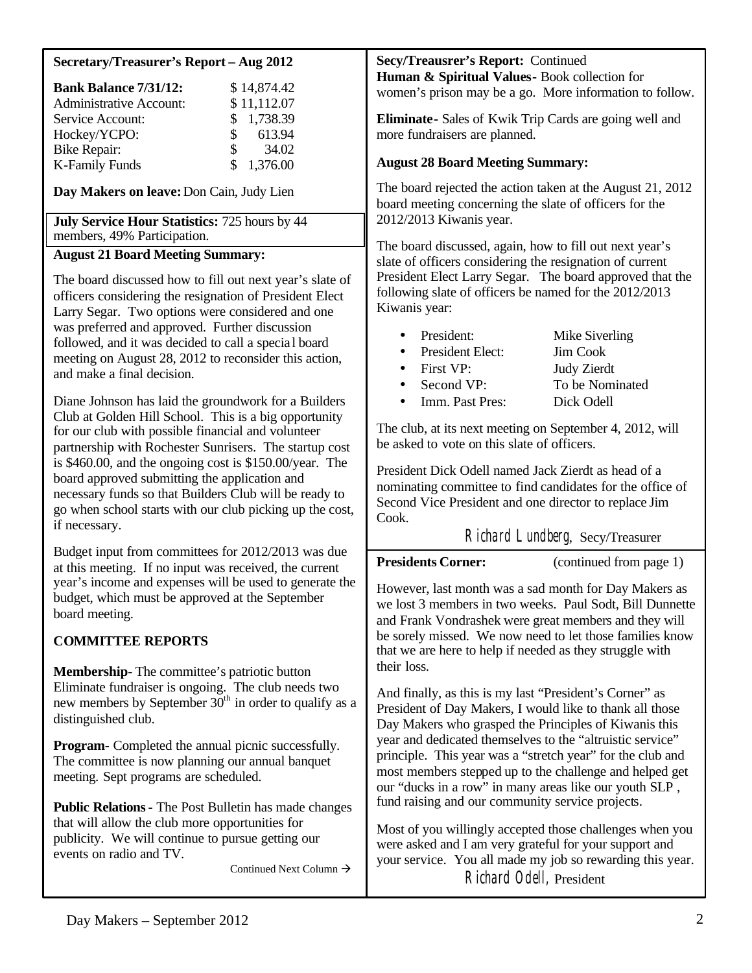### **Secretary/Treasurer's Report – Aug 2012**

| <b>Bank Balance 7/31/12:</b>   | \$14,874.42           |
|--------------------------------|-----------------------|
| <b>Administrative Account:</b> | \$11,112.07           |
| Service Account:               | \$1,738.39            |
| Hockey/YCPO:                   | 613.94<br>S.          |
| <b>Bike Repair:</b>            | 34.02<br>$\mathbf{s}$ |
| <b>K-Family Funds</b>          | \$1,376.00            |

**Day Makers on leave:**Don Cain, Judy Lien

**July Service Hour Statistics:** 725 hours by 44 members, 49% Participation.

### **August 21 Board Meeting Summary:**

The board discussed how to fill out next year's slate of officers considering the resignation of President Elect Larry Segar. Two options were considered and one was preferred and approved. Further discussion followed, and it was decided to call a specia l board meeting on August 28, 2012 to reconsider this action, and make a final decision.

Diane Johnson has laid the groundwork for a Builders Club at Golden Hill School. This is a big opportunity for our club with possible financial and volunteer partnership with Rochester Sunrisers. The startup cost is \$460.00, and the ongoing cost is \$150.00/year. The board approved submitting the application and necessary funds so that Builders Club will be ready to go when school starts with our club picking up the cost, if necessary.

Budget input from committees for 2012/2013 was due at this meeting. If no input was received, the current year's income and expenses will be used to generate the budget, which must be approved at the September board meeting.

### **COMMITTEE REPORTS**

**Membership-** The committee's patriotic button Eliminate fundraiser is ongoing. The club needs two new members by September  $30<sup>th</sup>$  in order to qualify as a distinguished club.

**Program-** Completed the annual picnic successfully. The committee is now planning our annual banquet meeting. Sept programs are scheduled.

**Public Relations-** The Post Bulletin has made changes that will allow the club more opportunities for publicity. We will continue to pursue getting our events on radio and TV.

Continued Next Column  $\rightarrow$ 

**Secy/Treausrer's Report:** Continued **Human & Spiritual Values-** Book collection for women's prison may be a go. More information to follow.

**Eliminate-** Sales of Kwik Trip Cards are going well and more fundraisers are planned.

#### **August 28 Board Meeting Summary:**

The board rejected the action taken at the August 21, 2012 board meeting concerning the slate of officers for the 2012/2013 Kiwanis year.

The board discussed, again, how to fill out next year's slate of officers considering the resignation of current President Elect Larry Segar. The board approved that the following slate of officers be named for the 2012/2013 Kiwanis year:

| • President:        | Mike Siverling     |
|---------------------|--------------------|
| • President Elect:  | Jim Cook           |
| $\bullet$ First VP: | <b>Judy Zierdt</b> |
| • Second VP:        | To be Nominated    |

• Imm. Past Pres: Dick Odell

The club, at its next meeting on September 4, 2012, will be asked to vote on this slate of officers.

President Dick Odell named Jack Zierdt as head of a nominating committee to find candidates for the office of Second Vice President and one director to replace Jim Cook.

# Richard Lundberg, Secy/Treasurer

**Presidents Corner:** (continued from page 1)

However, last month was a sad month for Day Makers as we lost 3 members in two weeks. Paul Sodt, Bill Dunnette and Frank Vondrashek were great members and they will be sorely missed. We now need to let those families know that we are here to help if needed as they struggle with their loss.

And finally, as this is my last "President's Corner" as President of Day Makers, I would like to thank all those Day Makers who grasped the Principles of Kiwanis this year and dedicated themselves to the "altruistic service" principle. This year was a "stretch year" for the club and most members stepped up to the challenge and helped get our "ducks in a row" in many areas like our youth SLP , fund raising and our community service projects.

Most of you willingly accepted those challenges when you were asked and I am very grateful for your support and your service. You all made my job so rewarding this year. Richard Odell, President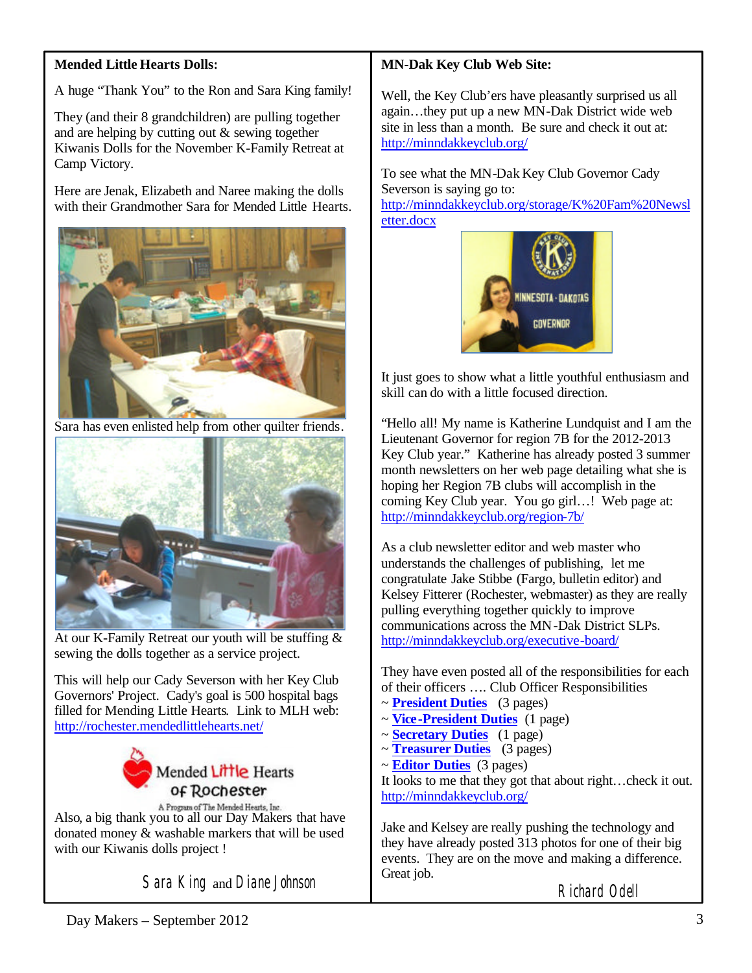# **Mended Little Hearts Dolls:**

A huge "Thank You" to the Ron and Sara King family!

They (and their 8 grandchildren) are pulling together and are helping by cutting out & sewing together Kiwanis Dolls for the November K-Family Retreat at Camp Victory.

Here are Jenak, Elizabeth and Naree making the dolls with their Grandmother Sara for Mended Little Hearts.



Sara has even enlisted help from other quilter friends.



At our K-Family Retreat our youth will be stuffing & sewing the dolls together as a service project.

This will help our Cady Severson with her Key Club Governors' Project. Cady's goal is 500 hospital bags filled for Mending Little Hearts. Link to MLH web: <http://rochester.mendedlittlehearts.net/>



A Program of The Mended Hearts, Inc.<br>Also, a big thank you to all our Day Makers that have donated money & washable markers that will be used with our Kiwanis dolls project !

Sara King and Diane Johnson

# **MN-Dak Key Club Web Site:**

Well, the Key Club'ers have pleasantly surprised us all again…they put up a new MN-Dak District wide web site in less than a month. Be sure and check it out at: <http://minndakkeyclub.org/>

To see what the MN-Dak Key Club Governor Cady Severson is saying go to: [http://minndakkeyclub.org/storage/K%20Fam%20Newsl](http://minndakkeyclub.org/storage/K%20Fam%20Newsletter.docx) etter.docx



It just goes to show what a little youthful enthusiasm and skill can do with a little focused direction.

"Hello all! My name is Katherine Lundquist and I am the Lieutenant Governor for region 7B for the 2012-2013 Key Club year." Katherine has already posted 3 summer month newsletters on her web page detailing what she is hoping her Region 7B clubs will accomplish in the coming Key Club year. You go girl…! Web page at: <http://minndakkeyclub.org/region-7b/>

As a club newsletter editor and web master who understands the challenges of publishing, let me congratulate Jake Stibbe (Fargo, bulletin editor) and Kelsey Fitterer (Rochester, webmaster) as they are really pulling everything together quickly to improve communications across the MN-Dak District SLPs. <http://minndakkeyclub.org/executive-board/>

They have even posted all of the responsibilities for each of their officers …. Club Officer Responsibilities

- ~ **President Duties** (3 pages)
- ~ **Vice-President Duties** (1 page)
- ~ **Secretary Duties** (1 page)
- ~ **Treasurer Duties** (3 pages)
- ~ **Editor Duties** (3 pages)

It looks to me that they got that about right…check it out. <http://minndakkeyclub.org/>

Jake and Kelsey are really pushing the technology and they have already posted 313 photos for one of their big events. They are on the move and making a difference. Great job.

Richard Odell